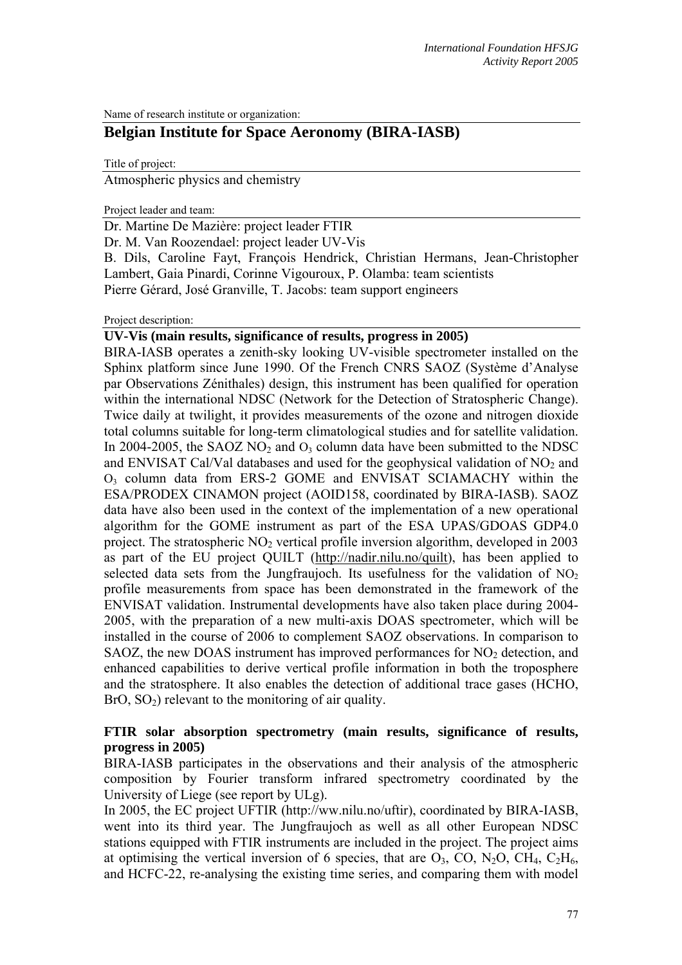Name of research institute or organization:

# **Belgian Institute for Space Aeronomy (BIRA-IASB)**

Title of project:

Atmospheric physics and chemistry

Project leader and team:

Dr. Martine De Mazière: project leader FTIR

Dr. M. Van Roozendael: project leader UV-Vis

B. Dils, Caroline Fayt, François Hendrick, Christian Hermans, Jean-Christopher Lambert, Gaia Pinardi, Corinne Vigouroux, P. Olamba: team scientists Pierre Gérard, José Granville, T. Jacobs: team support engineers

Project description:

# **UV-Vis (main results, significance of results, progress in 2005)**

BIRA-IASB operates a zenith-sky looking UV-visible spectrometer installed on the Sphinx platform since June 1990. Of the French CNRS SAOZ (Système d'Analyse par Observations Zénithales) design, this instrument has been qualified for operation within the international NDSC (Network for the Detection of Stratospheric Change). Twice daily at twilight, it provides measurements of the ozone and nitrogen dioxide total columns suitable for long-term climatological studies and for satellite validation. In 2004-2005, the SAOZ NO<sub>2</sub> and  $O_3$  column data have been submitted to the NDSC and ENVISAT Cal/Val databases and used for the geophysical validation of  $NO<sub>2</sub>$  and O3 column data from ERS-2 GOME and ENVISAT SCIAMACHY within the ESA/PRODEX CINAMON project (AOID158, coordinated by BIRA-IASB). SAOZ data have also been used in the context of the implementation of a new operational algorithm for the GOME instrument as part of the ESA UPAS/GDOAS GDP4.0 project. The stratospheric  $NO<sub>2</sub>$  vertical profile inversion algorithm, developed in 2003 as part of the EU project QUILT (http://nadir.nilu.no/quilt), has been applied to selected data sets from the Jungfraujoch. Its usefulness for the validation of  $NO<sub>2</sub>$ profile measurements from space has been demonstrated in the framework of the ENVISAT validation. Instrumental developments have also taken place during 2004- 2005, with the preparation of a new multi-axis DOAS spectrometer, which will be installed in the course of 2006 to complement SAOZ observations. In comparison to SAOZ, the new DOAS instrument has improved performances for  $NO<sub>2</sub>$  detection, and enhanced capabilities to derive vertical profile information in both the troposphere and the stratosphere. It also enables the detection of additional trace gases (HCHO,  $BrO, SO<sub>2</sub>$ ) relevant to the monitoring of air quality.

# **FTIR solar absorption spectrometry (main results, significance of results, progress in 2005)**

BIRA-IASB participates in the observations and their analysis of the atmospheric composition by Fourier transform infrared spectrometry coordinated by the University of Liege (see report by ULg).

In 2005, the EC project UFTIR (http://ww.nilu.no/uftir), coordinated by BIRA-IASB, went into its third year. The Jungfraujoch as well as all other European NDSC stations equipped with FTIR instruments are included in the project. The project aims at optimising the vertical inversion of 6 species, that are  $O_3$ , CO, N<sub>2</sub>O, CH<sub>4</sub>, C<sub>2</sub>H<sub>6</sub>, and HCFC-22, re-analysing the existing time series, and comparing them with model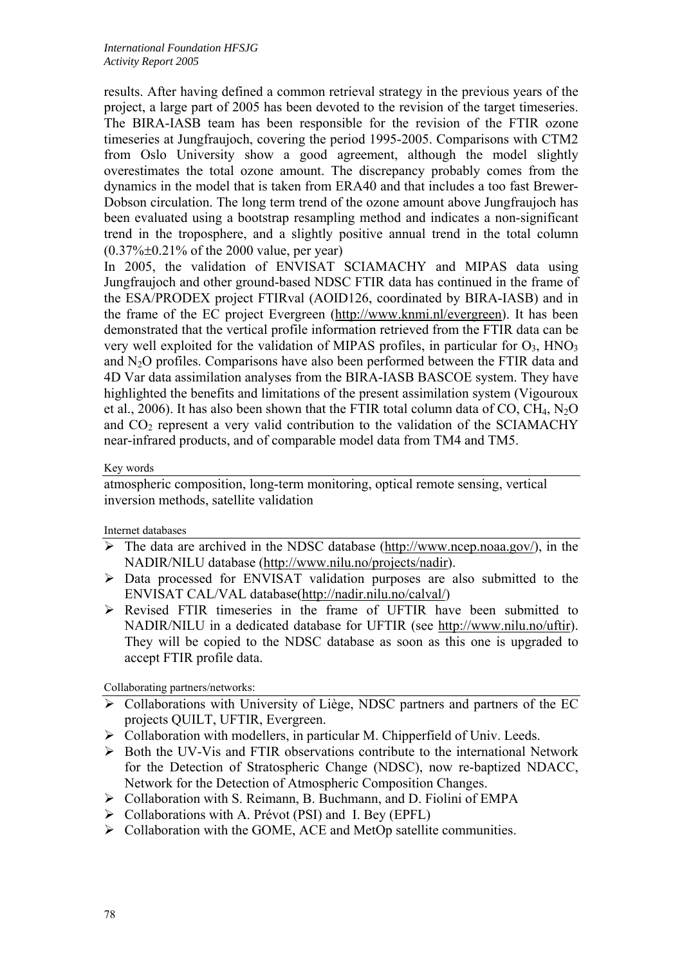results. After having defined a common retrieval strategy in the previous years of the project, a large part of 2005 has been devoted to the revision of the target timeseries. The BIRA-IASB team has been responsible for the revision of the FTIR ozone timeseries at Jungfraujoch, covering the period 1995-2005. Comparisons with CTM2 from Oslo University show a good agreement, although the model slightly overestimates the total ozone amount. The discrepancy probably comes from the dynamics in the model that is taken from ERA40 and that includes a too fast Brewer-Dobson circulation. The long term trend of the ozone amount above Jungfraujoch has been evaluated using a bootstrap resampling method and indicates a non-significant trend in the troposphere, and a slightly positive annual trend in the total column  $(0.37\% \pm 0.21\% \text{ of the } 2000 \text{ value}, \text{ per year})$ 

In 2005, the validation of ENVISAT SCIAMACHY and MIPAS data using Jungfraujoch and other ground-based NDSC FTIR data has continued in the frame of the ESA/PRODEX project FTIRval (AOID126, coordinated by BIRA-IASB) and in the frame of the EC project Evergreen (http://www.knmi.nl/evergreen). It has been demonstrated that the vertical profile information retrieved from the FTIR data can be very well exploited for the validation of MIPAS profiles, in particular for  $O_3$ , HNO<sub>3</sub> and N2O profiles. Comparisons have also been performed between the FTIR data and 4D Var data assimilation analyses from the BIRA-IASB BASCOE system. They have highlighted the benefits and limitations of the present assimilation system (Vigouroux et al., 2006). It has also been shown that the FTIR total column data of CO, CH<sub>4</sub>, N<sub>2</sub>O and  $CO<sub>2</sub>$  represent a very valid contribution to the validation of the SCIAMACHY near-infrared products, and of comparable model data from TM4 and TM5.

#### Key words

atmospheric composition, long-term monitoring, optical remote sensing, vertical inversion methods, satellite validation

Internet databases

- $\triangleright$  The data are archived in the NDSC database (http://www.ncep.noaa.gov/), in the NADIR/NILU database (http://www.nilu.no/projects/nadir).
- ¾ Data processed for ENVISAT validation purposes are also submitted to the ENVISAT CAL/VAL database(http://nadir.nilu.no/calval/)
- $\triangleright$  Revised FTIR timeseries in the frame of UFTIR have been submitted to NADIR/NILU in a dedicated database for UFTIR (see http://www.nilu.no/uftir). They will be copied to the NDSC database as soon as this one is upgraded to accept FTIR profile data.

Collaborating partners/networks:

- $\triangleright$  Collaborations with University of Liège, NDSC partners and partners of the EC projects QUILT, UFTIR, Evergreen.
- $\triangleright$  Collaboration with modellers, in particular M. Chipperfield of Univ. Leeds.
- ¾ Both the UV-Vis and FTIR observations contribute to the international Network for the Detection of Stratospheric Change (NDSC), now re-baptized NDACC, Network for the Detection of Atmospheric Composition Changes.
- ¾ Collaboration with S. Reimann, B. Buchmann, and D. Fiolini of EMPA
- $\triangleright$  Collaborations with A. Prévot (PSI) and I. Bey (EPFL)
- $\triangleright$  Collaboration with the GOME, ACE and MetOp satellite communities.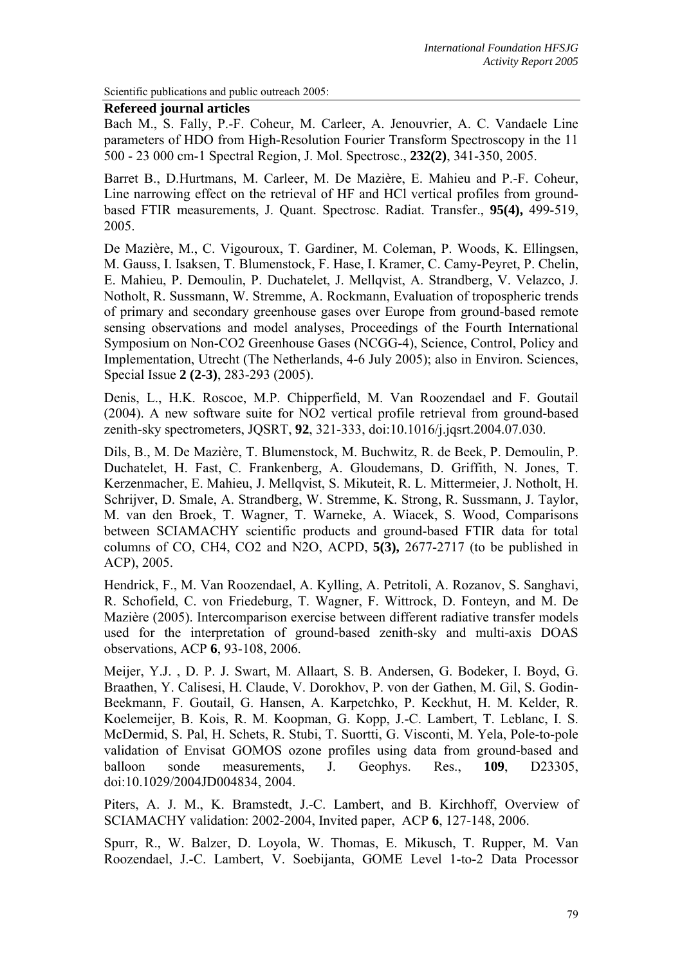Scientific publications and public outreach 2005:

#### **Refereed journal articles**

Bach M., S. Fally, P.-F. Coheur, M. Carleer, A. Jenouvrier, A. C. Vandaele Line parameters of HDO from High-Resolution Fourier Transform Spectroscopy in the 11 500 - 23 000 cm-1 Spectral Region, J. Mol. Spectrosc., **232(2)**, 341-350, 2005.

Barret B., D.Hurtmans, M. Carleer, M. De Mazière, E. Mahieu and P.-F. Coheur, Line narrowing effect on the retrieval of HF and HCl vertical profiles from groundbased FTIR measurements, J. Quant. Spectrosc. Radiat. Transfer., **95(4),** 499-519, 2005.

De Mazière, M., C. Vigouroux, T. Gardiner, M. Coleman, P. Woods, K. Ellingsen, M. Gauss, I. Isaksen, T. Blumenstock, F. Hase, I. Kramer, C. Camy-Peyret, P. Chelin, E. Mahieu, P. Demoulin, P. Duchatelet, J. Mellqvist, A. Strandberg, V. Velazco, J. Notholt, R. Sussmann, W. Stremme, A. Rockmann, Evaluation of tropospheric trends of primary and secondary greenhouse gases over Europe from ground-based remote sensing observations and model analyses, Proceedings of the Fourth International Symposium on Non-CO2 Greenhouse Gases (NCGG-4), Science, Control, Policy and Implementation, Utrecht (The Netherlands, 4-6 July 2005); also in Environ. Sciences, Special Issue **2 (2-3)**, 283-293 (2005).

Denis, L., H.K. Roscoe, M.P. Chipperfield, M. Van Roozendael and F. Goutail (2004). A new software suite for NO2 vertical profile retrieval from ground-based zenith-sky spectrometers, JQSRT, **92**, 321-333, doi:10.1016/j.jqsrt.2004.07.030.

Dils, B., M. De Mazière, T. Blumenstock, M. Buchwitz, R. de Beek, P. Demoulin, P. Duchatelet, H. Fast, C. Frankenberg, A. Gloudemans, D. Griffith, N. Jones, T. Kerzenmacher, E. Mahieu, J. Mellqvist, S. Mikuteit, R. L. Mittermeier, J. Notholt, H. Schrijver, D. Smale, A. Strandberg, W. Stremme, K. Strong, R. Sussmann, J. Taylor, M. van den Broek, T. Wagner, T. Warneke, A. Wiacek, S. Wood, Comparisons between SCIAMACHY scientific products and ground-based FTIR data for total columns of CO, CH4, CO2 and N2O, ACPD, **5(3),** 2677-2717 (to be published in ACP), 2005.

Hendrick, F., M. Van Roozendael, A. Kylling, A. Petritoli, A. Rozanov, S. Sanghavi, R. Schofield, C. von Friedeburg, T. Wagner, F. Wittrock, D. Fonteyn, and M. De Mazière (2005). Intercomparison exercise between different radiative transfer models used for the interpretation of ground-based zenith-sky and multi-axis DOAS observations, ACP **6**, 93-108, 2006.

Meijer, Y.J. , D. P. J. Swart, M. Allaart, S. B. Andersen, G. Bodeker, I. Boyd, G. Braathen, Y. Calisesi, H. Claude, V. Dorokhov, P. von der Gathen, M. Gil, S. Godin-Beekmann, F. Goutail, G. Hansen, A. Karpetchko, P. Keckhut, H. M. Kelder, R. Koelemeijer, B. Kois, R. M. Koopman, G. Kopp, J.-C. Lambert, T. Leblanc, I. S. McDermid, S. Pal, H. Schets, R. Stubi, T. Suortti, G. Visconti, M. Yela, Pole-to-pole validation of Envisat GOMOS ozone profiles using data from ground-based and balloon sonde measurements, J. Geophys. Res., **109**, D23305, doi:10.1029/2004JD004834, 2004.

Piters, A. J. M., K. Bramstedt, J.-C. Lambert, and B. Kirchhoff, Overview of SCIAMACHY validation: 2002-2004, Invited paper, ACP **6**, 127-148, 2006.

Spurr, R., W. Balzer, D. Loyola, W. Thomas, E. Mikusch, T. Rupper, M. Van Roozendael, J.-C. Lambert, V. Soebijanta, GOME Level 1-to-2 Data Processor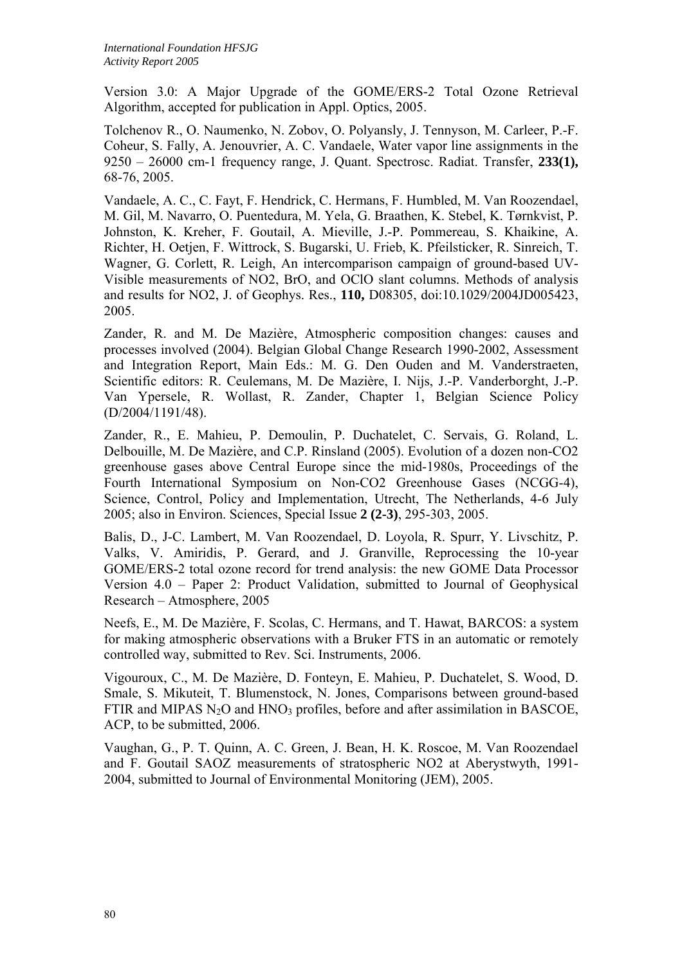Version 3.0: A Major Upgrade of the GOME/ERS-2 Total Ozone Retrieval Algorithm, accepted for publication in Appl. Optics, 2005.

Tolchenov R., O. Naumenko, N. Zobov, O. Polyansly, J. Tennyson, M. Carleer, P.-F. Coheur, S. Fally, A. Jenouvrier, A. C. Vandaele, Water vapor line assignments in the 9250 – 26000 cm-1 frequency range, J. Quant. Spectrosc. Radiat. Transfer, **233(1),** 68-76, 2005.

Vandaele, A. C., C. Fayt, F. Hendrick, C. Hermans, F. Humbled, M. Van Roozendael, M. Gil, M. Navarro, O. Puentedura, M. Yela, G. Braathen, K. Stebel, K. Tørnkvist, P. Johnston, K. Kreher, F. Goutail, A. Mieville, J.-P. Pommereau, S. Khaikine, A. Richter, H. Oetjen, F. Wittrock, S. Bugarski, U. Frieb, K. Pfeilsticker, R. Sinreich, T. Wagner, G. Corlett, R. Leigh, An intercomparison campaign of ground-based UV-Visible measurements of NO2, BrO, and OClO slant columns. Methods of analysis and results for NO2, J. of Geophys. Res., **110,** D08305, doi:10.1029/2004JD005423, 2005.

Zander, R. and M. De Mazière, Atmospheric composition changes: causes and processes involved (2004). Belgian Global Change Research 1990-2002, Assessment and Integration Report, Main Eds.: M. G. Den Ouden and M. Vanderstraeten, Scientific editors: R. Ceulemans, M. De Mazière, I. Nijs, J.-P. Vanderborght, J.-P. Van Ypersele, R. Wollast, R. Zander, Chapter 1, Belgian Science Policy (D/2004/1191/48).

Zander, R., E. Mahieu, P. Demoulin, P. Duchatelet, C. Servais, G. Roland, L. Delbouille, M. De Mazière, and C.P. Rinsland (2005). Evolution of a dozen non-CO2 greenhouse gases above Central Europe since the mid-1980s, Proceedings of the Fourth International Symposium on Non-CO2 Greenhouse Gases (NCGG-4), Science, Control, Policy and Implementation, Utrecht, The Netherlands, 4-6 July 2005; also in Environ. Sciences, Special Issue **2 (2-3)**, 295-303, 2005.

Balis, D., J-C. Lambert, M. Van Roozendael, D. Loyola, R. Spurr, Y. Livschitz, P. Valks, V. Amiridis, P. Gerard, and J. Granville, Reprocessing the 10-year GOME/ERS-2 total ozone record for trend analysis: the new GOME Data Processor Version 4.0 – Paper 2: Product Validation, submitted to Journal of Geophysical Research – Atmosphere, 2005

Neefs, E., M. De Mazière, F. Scolas, C. Hermans, and T. Hawat, BARCOS: a system for making atmospheric observations with a Bruker FTS in an automatic or remotely controlled way, submitted to Rev. Sci. Instruments, 2006.

Vigouroux, C., M. De Mazière, D. Fonteyn, E. Mahieu, P. Duchatelet, S. Wood, D. Smale, S. Mikuteit, T. Blumenstock, N. Jones, Comparisons between ground-based FTIR and MIPAS  $N_2O$  and HNO<sub>3</sub> profiles, before and after assimilation in BASCOE, ACP, to be submitted, 2006.

Vaughan, G., P. T. Quinn, A. C. Green, J. Bean, H. K. Roscoe, M. Van Roozendael and F. Goutail SAOZ measurements of stratospheric NO2 at Aberystwyth, 1991- 2004, submitted to Journal of Environmental Monitoring (JEM), 2005.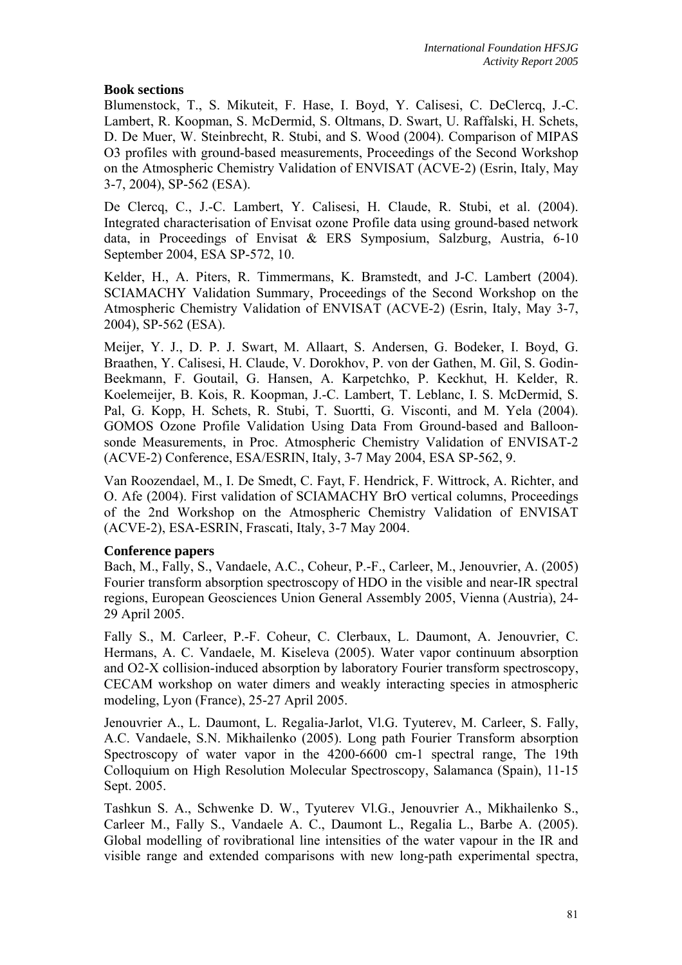# **Book sections**

Blumenstock, T., S. Mikuteit, F. Hase, I. Boyd, Y. Calisesi, C. DeClercq, J.-C. Lambert, R. Koopman, S. McDermid, S. Oltmans, D. Swart, U. Raffalski, H. Schets, D. De Muer, W. Steinbrecht, R. Stubi, and S. Wood (2004). Comparison of MIPAS O3 profiles with ground-based measurements, Proceedings of the Second Workshop on the Atmospheric Chemistry Validation of ENVISAT (ACVE-2) (Esrin, Italy, May 3-7, 2004), SP-562 (ESA).

De Clercq, C., J.-C. Lambert, Y. Calisesi, H. Claude, R. Stubi, et al. (2004). Integrated characterisation of Envisat ozone Profile data using ground-based network data, in Proceedings of Envisat & ERS Symposium, Salzburg, Austria, 6-10 September 2004, ESA SP-572, 10.

Kelder, H., A. Piters, R. Timmermans, K. Bramstedt, and J-C. Lambert (2004). SCIAMACHY Validation Summary, Proceedings of the Second Workshop on the Atmospheric Chemistry Validation of ENVISAT (ACVE-2) (Esrin, Italy, May 3-7, 2004), SP-562 (ESA).

Meijer, Y. J., D. P. J. Swart, M. Allaart, S. Andersen, G. Bodeker, I. Boyd, G. Braathen, Y. Calisesi, H. Claude, V. Dorokhov, P. von der Gathen, M. Gil, S. Godin-Beekmann, F. Goutail, G. Hansen, A. Karpetchko, P. Keckhut, H. Kelder, R. Koelemeijer, B. Kois, R. Koopman, J.-C. Lambert, T. Leblanc, I. S. McDermid, S. Pal, G. Kopp, H. Schets, R. Stubi, T. Suortti, G. Visconti, and M. Yela (2004). GOMOS Ozone Profile Validation Using Data From Ground-based and Balloonsonde Measurements, in Proc. Atmospheric Chemistry Validation of ENVISAT-2 (ACVE-2) Conference, ESA/ESRIN, Italy, 3-7 May 2004, ESA SP-562, 9.

Van Roozendael, M., I. De Smedt, C. Fayt, F. Hendrick, F. Wittrock, A. Richter, and O. Afe (2004). First validation of SCIAMACHY BrO vertical columns, Proceedings of the 2nd Workshop on the Atmospheric Chemistry Validation of ENVISAT (ACVE-2), ESA-ESRIN, Frascati, Italy, 3-7 May 2004.

### **Conference papers**

Bach, M., Fally, S., Vandaele, A.C., Coheur, P.-F., Carleer, M., Jenouvrier, A. (2005) Fourier transform absorption spectroscopy of HDO in the visible and near-IR spectral regions, European Geosciences Union General Assembly 2005, Vienna (Austria), 24- 29 April 2005.

Fally S., M. Carleer, P.-F. Coheur, C. Clerbaux, L. Daumont, A. Jenouvrier, C. Hermans, A. C. Vandaele, M. Kiseleva (2005). Water vapor continuum absorption and O2-X collision-induced absorption by laboratory Fourier transform spectroscopy, CECAM workshop on water dimers and weakly interacting species in atmospheric modeling, Lyon (France), 25-27 April 2005.

Jenouvrier A., L. Daumont, L. Regalia-Jarlot, Vl.G. Tyuterev, M. Carleer, S. Fally, A.C. Vandaele, S.N. Mikhailenko (2005). Long path Fourier Transform absorption Spectroscopy of water vapor in the 4200-6600 cm-1 spectral range, The 19th Colloquium on High Resolution Molecular Spectroscopy, Salamanca (Spain), 11-15 Sept. 2005.

Tashkun S. A., Schwenke D. W., Tyuterev Vl.G., Jenouvrier A., Mikhailenko S., Carleer M., Fally S., Vandaele A. C., Daumont L., Regalia L., Barbe A. (2005). Global modelling of rovibrational line intensities of the water vapour in the IR and visible range and extended comparisons with new long-path experimental spectra,